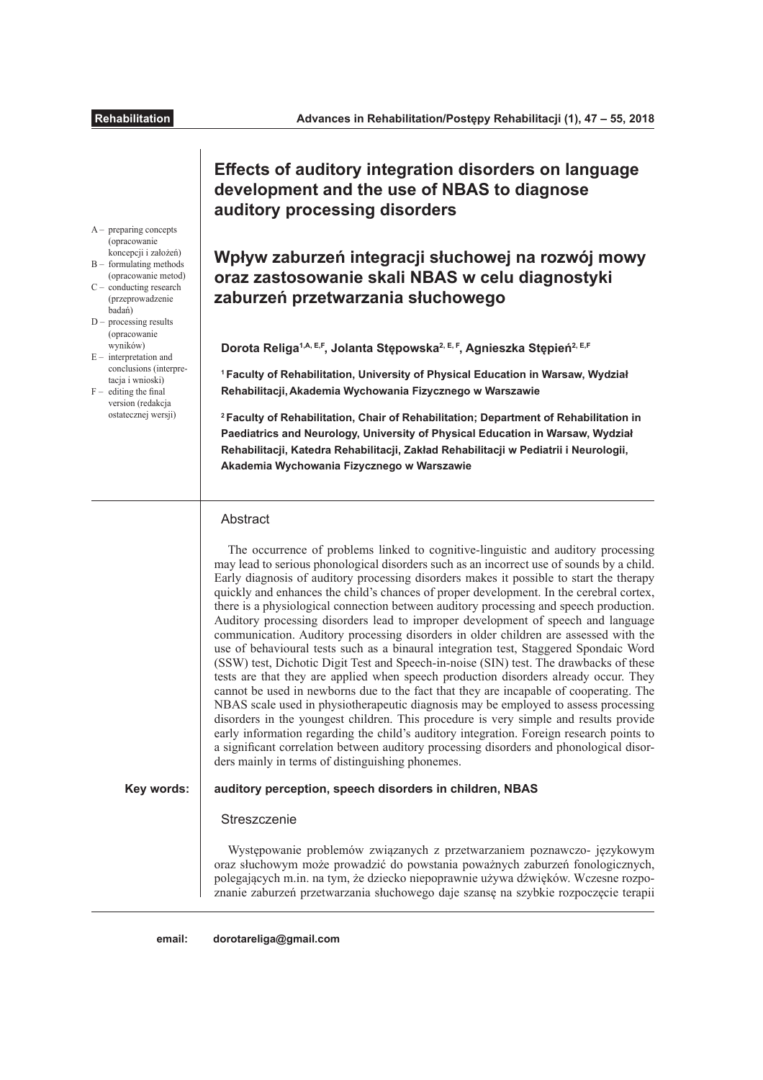# **Efects of auditory integration disorders on language development and the use of NBAS to diagnose auditory processing disorders**

# **Wpływ zaburzeń integracji słuchowej na rozwój mowy oraz zastosowanie skali NBAS w celu diagnostyki zaburzeń przetwarzania słuchowego**

**Dorota Religa1,A, E,F, Jolanta Stępowska2, E, F, Agnieszka Stępień2, E,F**

**<sup>1</sup>Faculty of Rehabilitation, University of Physical Education in Warsaw, Wydział Rehabilitacji,Akademia Wychowania Fizycznego w Warszawie**

**<sup>2</sup>Faculty of Rehabilitation, Chair of Rehabilitation; Department of Rehabilitation in Paediatrics and Neurology, University of Physical Education in Warsaw, Wydział Rehabilitacji, Katedra Rehabilitacji, Zakład Rehabilitacji w Pediatrii i Neurologii, Akademia Wychowania Fizycznego w Warszawie**

# **Abstract**

The occurrence of problems linked to cognitive-linguistic and auditory processing may lead to serious phonological disorders such as an incorrect use of sounds by a child. Early diagnosis of auditory processing disorders makes it possible to start the therapy quickly and enhances the child's chances of proper development. In the cerebral cortex, there is a physiological connection between auditory processing and speech production. Auditory processing disorders lead to improper development of speech and language communication. Auditory processing disorders in older children are assessed with the use of behavioural tests such as a binaural integration test, Staggered Spondaic Word (SSW) test, Dichotic Digit Test and Speech-in-noise (SIN) test. The drawbacks of these tests are that they are applied when speech production disorders already occur. They cannot be used in newborns due to the fact that they are incapable of cooperating. The NBAS scale used in physiotherapeutic diagnosis may be employed to assess processing disorders in the youngest children. This procedure is very simple and results provide early information regarding the child's auditory integration. Foreign research points to a signifcant correlation between auditory processing disorders and phonological disorders mainly in terms of distinguishing phonemes.

**auditory perception, speech disorders in children, NBAS Key words:**

## **Streszczenie**

Występowanie problemów związanych z przetwarzaniem poznawczo- językowym oraz słuchowym może prowadzić do powstania poważnych zaburzeń fonologicznych, polegających m.in. na tym, że dziecko niepoprawnie używa dźwięków. Wczesne rozpoznanie zaburzeń przetwarzania słuchowego daje szansę na szybkie rozpoczęcie terapii

A – preparing concepts (opracowanie koncepcji i założeń)

- B formulating methods (opracowanie metod) C – conducting research
- (przeprowadzenie badań)  $D -$  processing results
- (opracowanie wyników)
- $E -$  interpretation and conclusions (interpretacia i wnioski)
- $F -$  editing the final version (redakcja ostatecznej wersji)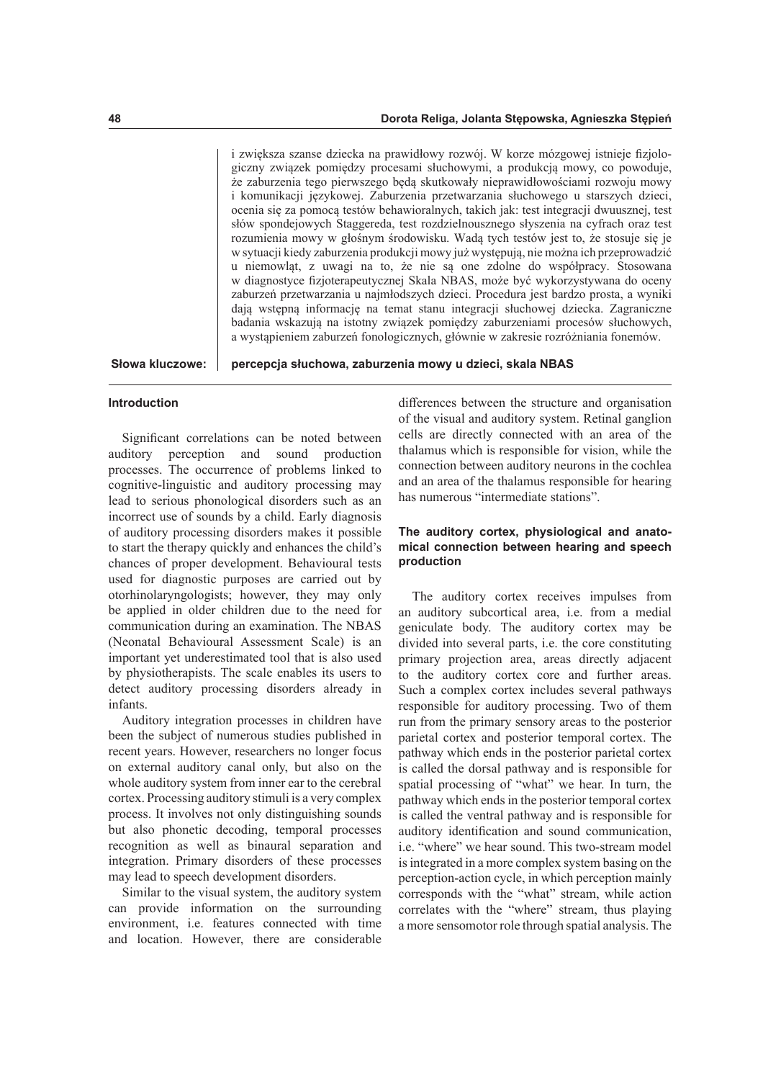i zwiększa szanse dziecka na prawidłowy rozwój. W korze mózgowej istnieje fzjologiczny związek pomiędzy procesami słuchowymi, a produkcją mowy, co powoduje, że zaburzenia tego pierwszego będą skutkowały nieprawidłowościami rozwoju mowy i komunikacji językowej. Zaburzenia przetwarzania słuchowego u starszych dzieci, ocenia się za pomocą testów behawioralnych, takich jak: test integracji dwuusznej, test słów spondejowych Staggereda, test rozdzielnousznego słyszenia na cyfrach oraz test rozumienia mowy w głośnym środowisku. Wadą tych testów jest to, że stosuje się je w sytuacji kiedy zaburzenia produkcji mowy już występują, nie można ich przeprowadzić u niemowląt, z uwagi na to, że nie są one zdolne do współpracy. Stosowana w diagnostyce fzjoterapeutycznej Skala NBAS, może być wykorzystywana do oceny zaburzeń przetwarzania u najmłodszych dzieci. Procedura jest bardzo prosta, a wyniki dają wstępną informację na temat stanu integracji słuchowej dziecka. Zagraniczne badania wskazują na istotny związek pomiędzy zaburzeniami procesów słuchowych, a wystąpieniem zaburzeń fonologicznych, głównie w zakresie rozróżniania fonemów.

**Słowa kluczowe:**

**percepcja słuchowa, zaburzenia mowy u dzieci, skala NBAS**

### **Introduction**

Signifcant correlations can be noted between auditory perception and sound production processes. The occurrence of problems linked to cognitive-linguistic and auditory processing may lead to serious phonological disorders such as an incorrect use of sounds by a child. Early diagnosis of auditory processing disorders makes it possible to start the therapy quickly and enhances the child's chances of proper development. Behavioural tests used for diagnostic purposes are carried out by otorhinolaryngologists; however, they may only be applied in older children due to the need for communication during an examination. The NBAS (Neonatal Behavioural Assessment Scale) is an important yet underestimated tool that is also used by physiotherapists. The scale enables its users to detect auditory processing disorders already in infants.

Auditory integration processes in children have been the subject of numerous studies published in recent years. However, researchers no longer focus on external auditory canal only, but also on the whole auditory system from inner ear to the cerebral cortex. Processing auditory stimuli is a very complex process. It involves not only distinguishing sounds but also phonetic decoding, temporal processes recognition as well as binaural separation and integration. Primary disorders of these processes may lead to speech development disorders.

Similar to the visual system, the auditory system can provide information on the surrounding environment, i.e. features connected with time and location. However, there are considerable

diferences between the structure and organisation of the visual and auditory system. Retinal ganglion cells are directly connected with an area of the thalamus which is responsible for vision, while the connection between auditory neurons in the cochlea and an area of the thalamus responsible for hearing has numerous "intermediate stations".

## **The auditory cortex, physiological and anatomical connection between hearing and speech production**

The auditory cortex receives impulses from an auditory subcortical area, i.e. from a medial geniculate body. The auditory cortex may be divided into several parts, i.e. the core constituting primary projection area, areas directly adjacent to the auditory cortex core and further areas. Such a complex cortex includes several pathways responsible for auditory processing. Two of them run from the primary sensory areas to the posterior parietal cortex and posterior temporal cortex. The pathway which ends in the posterior parietal cortex is called the dorsal pathway and is responsible for spatial processing of "what" we hear. In turn, the pathway which ends in the posterior temporal cortex is called the ventral pathway and is responsible for auditory identifcation and sound communication, i.e. "where" we hear sound. This two-stream model is integrated in a more complex system basing on the perception-action cycle, in which perception mainly corresponds with the "what" stream, while action correlates with the "where" stream, thus playing a more sensomotor role through spatial analysis. The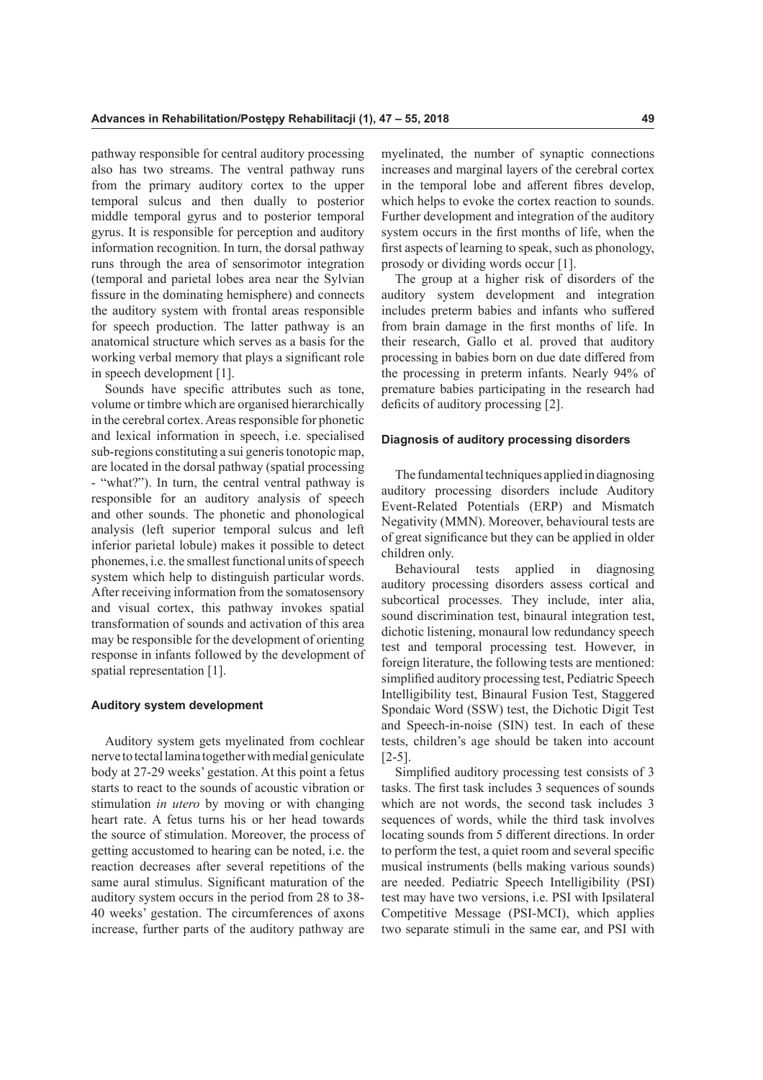pathway responsible for central auditory processing also has two streams. The ventral pathway runs from the primary auditory cortex to the upper temporal sulcus and then dually to posterior middle temporal gyrus and to posterior temporal gyrus. It is responsible for perception and auditory information recognition. In turn, the dorsal pathway runs through the area of sensorimotor integration (temporal and parietal lobes area near the Sylvian fssure in the dominating hemisphere) and connects the auditory system with frontal areas responsible for speech production. The latter pathway is an anatomical structure which serves as a basis for the working verbal memory that plays a signifcant role in speech development [1].

Sounds have specifc attributes such as tone, volume or timbre which are organised hierarchically in the cerebral cortex. Areas responsible for phonetic and lexical information in speech, i.e. specialised sub-regions constituting a sui generis tonotopic map, are located in the dorsal pathway (spatial processing - "what?"). In turn, the central ventral pathway is responsible for an auditory analysis of speech and other sounds. The phonetic and phonological analysis (left superior temporal sulcus and left inferior parietal lobule) makes it possible to detect phonemes, i.e. the smallest functional units of speech system which help to distinguish particular words. After receiving information from the somatosensory and visual cortex, this pathway invokes spatial transformation of sounds and activation of this area may be responsible for the development of orienting response in infants followed by the development of spatial representation [1].

## **Auditory system development**

Auditory system gets myelinated from cochlear nerve to tectal lamina together with medial geniculate body at 27-29 weeks' gestation. At this point a fetus starts to react to the sounds of acoustic vibration or stimulation *in utero* by moving or with changing heart rate. A fetus turns his or her head towards the source of stimulation. Moreover, the process of getting accustomed to hearing can be noted, i.e. the reaction decreases after several repetitions of the same aural stimulus. Signifcant maturation of the auditory system occurs in the period from 28 to 38- 40 weeks' gestation. The circumferences of axons increase, further parts of the auditory pathway are

myelinated, the number of synaptic connections increases and marginal layers of the cerebral cortex in the temporal lobe and aferent fbres develop, which helps to evoke the cortex reaction to sounds. Further development and integration of the auditory system occurs in the frst months of life, when the frst aspects of learning to speak, such as phonology, prosody or dividing words occur [1].

The group at a higher risk of disorders of the auditory system development and integration includes preterm babies and infants who sufered from brain damage in the frst months of life. In their research, Gallo et al. proved that auditory processing in babies born on due date difered from the processing in preterm infants. Nearly 94% of premature babies participating in the research had deficits of auditory processing [2].

#### **Diagnosis of auditory processing disorders**

The fundamental techniques applied in diagnosing auditory processing disorders include Auditory Event-Related Potentials (ERP) and Mismatch Negativity (MMN). Moreover, behavioural tests are of great signifcance but they can be applied in older children only.

Behavioural tests applied in diagnosing auditory processing disorders assess cortical and subcortical processes. They include, inter alia, sound discrimination test, binaural integration test, dichotic listening, monaural low redundancy speech test and temporal processing test. However, in foreign literature, the following tests are mentioned: simplifed auditory processing test, Pediatric Speech Intelligibility test, Binaural Fusion Test, Staggered Spondaic Word (SSW) test, the Dichotic Digit Test and Speech-in-noise (SIN) test. In each of these tests, children's age should be taken into account [2-5].

Simplifed auditory processing test consists of 3 tasks. The frst task includes 3 sequences of sounds which are not words, the second task includes 3 sequences of words, while the third task involves locating sounds from 5 diferent directions. In order to perform the test, a quiet room and several specifc musical instruments (bells making various sounds) are needed. Pediatric Speech Intelligibility (PSI) test may have two versions, i.e. PSI with Ipsilateral Competitive Message (PSI-MCI), which applies two separate stimuli in the same ear, and PSI with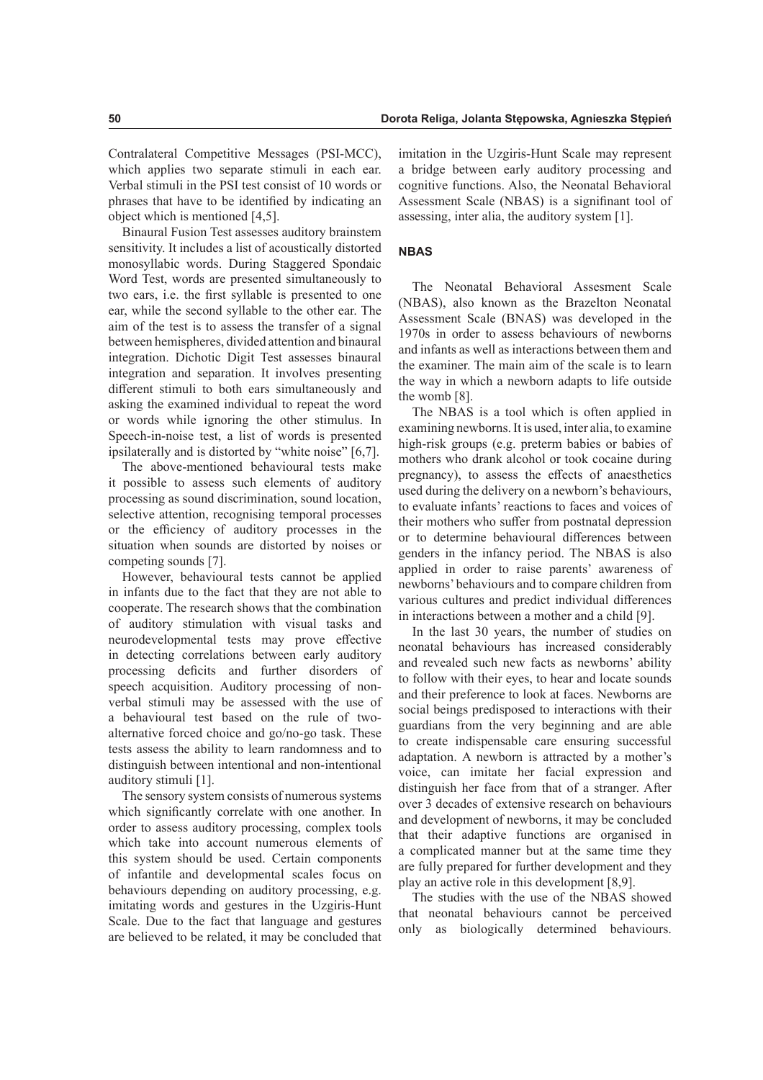Contralateral Competitive Messages (PSI-MCC), which applies two separate stimuli in each ear. Verbal stimuli in the PSI test consist of 10 words or phrases that have to be identifed by indicating an object which is mentioned [4,5].

Binaural Fusion Test assesses auditory brainstem sensitivity. It includes a list of acoustically distorted monosyllabic words. During Staggered Spondaic Word Test, words are presented simultaneously to two ears, i.e. the frst syllable is presented to one ear, while the second syllable to the other ear. The aim of the test is to assess the transfer of a signal between hemispheres, divided attention and binaural integration. Dichotic Digit Test assesses binaural integration and separation. It involves presenting diferent stimuli to both ears simultaneously and asking the examined individual to repeat the word or words while ignoring the other stimulus. In Speech-in-noise test, a list of words is presented ipsilaterally and is distorted by "white noise" [6,7].

The above-mentioned behavioural tests make it possible to assess such elements of auditory processing as sound discrimination, sound location, selective attention, recognising temporal processes or the efficiency of auditory processes in the situation when sounds are distorted by noises or competing sounds [7].

However, behavioural tests cannot be applied in infants due to the fact that they are not able to cooperate. The research shows that the combination of auditory stimulation with visual tasks and neurodevelopmental tests may prove efective in detecting correlations between early auditory processing deficits and further disorders of speech acquisition. Auditory processing of nonverbal stimuli may be assessed with the use of a behavioural test based on the rule of twoalternative forced choice and go/no-go task. These tests assess the ability to learn randomness and to distinguish between intentional and non-intentional auditory stimuli [1].

The sensory system consists of numerous systems which signifcantly correlate with one another. In order to assess auditory processing, complex tools which take into account numerous elements of this system should be used. Certain components of infantile and developmental scales focus on behaviours depending on auditory processing, e.g. imitating words and gestures in the Uzgiris-Hunt Scale. Due to the fact that language and gestures are believed to be related, it may be concluded that

imitation in the Uzgiris-Hunt Scale may represent a bridge between early auditory processing and cognitive functions. Also, the Neonatal Behavioral Assessment Scale (NBAS) is a signifnant tool of assessing, inter alia, the auditory system [1].

# **NBAS**

The Neonatal Behavioral Assesment Scale (NBAS), also known as the Brazelton Neonatal Assessment Scale (BNAS) was developed in the 1970s in order to assess behaviours of newborns and infants as well as interactions between them and the examiner. The main aim of the scale is to learn the way in which a newborn adapts to life outside the womb [8].

The NBAS is a tool which is often applied in examining newborns. It is used, inter alia, to examine high-risk groups (e.g. preterm babies or babies of mothers who drank alcohol or took cocaine during pregnancy), to assess the effects of anaesthetics used during the delivery on a newborn's behaviours, to evaluate infants' reactions to faces and voices of their mothers who sufer from postnatal depression or to determine behavioural diferences between genders in the infancy period. The NBAS is also applied in order to raise parents' awareness of newborns' behaviours and to compare children from various cultures and predict individual diferences in interactions between a mother and a child [9].

In the last 30 years, the number of studies on neonatal behaviours has increased considerably and revealed such new facts as newborns' ability to follow with their eyes, to hear and locate sounds and their preference to look at faces. Newborns are social beings predisposed to interactions with their guardians from the very beginning and are able to create indispensable care ensuring successful adaptation. A newborn is attracted by a mother's voice, can imitate her facial expression and distinguish her face from that of a stranger. After over 3 decades of extensive research on behaviours and development of newborns, it may be concluded that their adaptive functions are organised in a complicated manner but at the same time they are fully prepared for further development and they play an active role in this development [8,9].

The studies with the use of the NBAS showed that neonatal behaviours cannot be perceived only as biologically determined behaviours.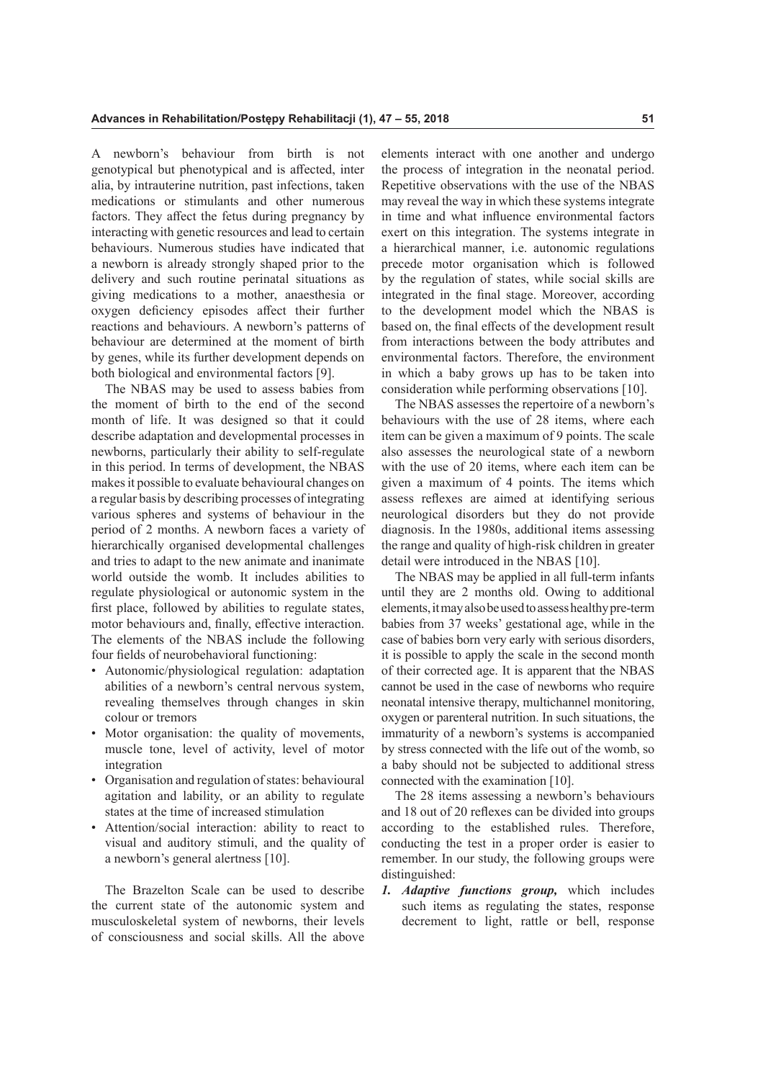A newborn's behaviour from birth is not genotypical but phenotypical and is afected, inter alia, by intrauterine nutrition, past infections, taken medications or stimulants and other numerous factors. They affect the fetus during pregnancy by interacting with genetic resources and lead to certain behaviours. Numerous studies have indicated that a newborn is already strongly shaped prior to the delivery and such routine perinatal situations as giving medications to a mother, anaesthesia or oxygen defciency episodes afect their further reactions and behaviours. A newborn's patterns of behaviour are determined at the moment of birth by genes, while its further development depends on both biological and environmental factors [9].

The NBAS may be used to assess babies from the moment of birth to the end of the second month of life. It was designed so that it could describe adaptation and developmental processes in newborns, particularly their ability to self-regulate in this period. In terms of development, the NBAS makes it possible to evaluate behavioural changes on a regular basis by describing processes of integrating various spheres and systems of behaviour in the period of 2 months. A newborn faces a variety of hierarchically organised developmental challenges and tries to adapt to the new animate and inanimate world outside the womb. It includes abilities to regulate physiological or autonomic system in the frst place, followed by abilities to regulate states, motor behaviours and, fnally, efective interaction. The elements of the NBAS include the following four felds of neurobehavioral functioning:

- Autonomic/physiological regulation: adaptation abilities of a newborn's central nervous system, revealing themselves through changes in skin colour or tremors
- Motor organisation: the quality of movements, muscle tone, level of activity, level of motor integration
- Organisation and regulation of states: behavioural agitation and lability, or an ability to regulate states at the time of increased stimulation
- Attention/social interaction: ability to react to visual and auditory stimuli, and the quality of a newborn's general alertness [10].

The Brazelton Scale can be used to describe the current state of the autonomic system and musculoskeletal system of newborns, their levels of consciousness and social skills. All the above elements interact with one another and undergo the process of integration in the neonatal period. Repetitive observations with the use of the NBAS may reveal the way in which these systems integrate in time and what infuence environmental factors exert on this integration. The systems integrate in a hierarchical manner, i.e. autonomic regulations precede motor organisation which is followed by the regulation of states, while social skills are integrated in the fnal stage. Moreover, according to the development model which the NBAS is based on, the fnal efects of the development result from interactions between the body attributes and environmental factors. Therefore, the environment in which a baby grows up has to be taken into consideration while performing observations [10].

The NBAS assesses the repertoire of a newborn's behaviours with the use of 28 items, where each item can be given a maximum of 9 points. The scale also assesses the neurological state of a newborn with the use of 20 items, where each item can be given a maximum of 4 points. The items which assess refexes are aimed at identifying serious neurological disorders but they do not provide diagnosis. In the 1980s, additional items assessing the range and quality of high-risk children in greater detail were introduced in the NBAS [10].

The NBAS may be applied in all full-term infants until they are 2 months old. Owing to additional elements, it may also be used to assess healthy pre-term babies from 37 weeks' gestational age, while in the case of babies born very early with serious disorders, it is possible to apply the scale in the second month of their corrected age. It is apparent that the NBAS cannot be used in the case of newborns who require neonatal intensive therapy, multichannel monitoring, oxygen or parenteral nutrition. In such situations, the immaturity of a newborn's systems is accompanied by stress connected with the life out of the womb, so a baby should not be subjected to additional stress connected with the examination [10].

The 28 items assessing a newborn's behaviours and 18 out of 20 refexes can be divided into groups according to the established rules. Therefore, conducting the test in a proper order is easier to remember. In our study, the following groups were distinguished:

*1. Adaptive functions group,* which includes such items as regulating the states, response decrement to light, rattle or bell, response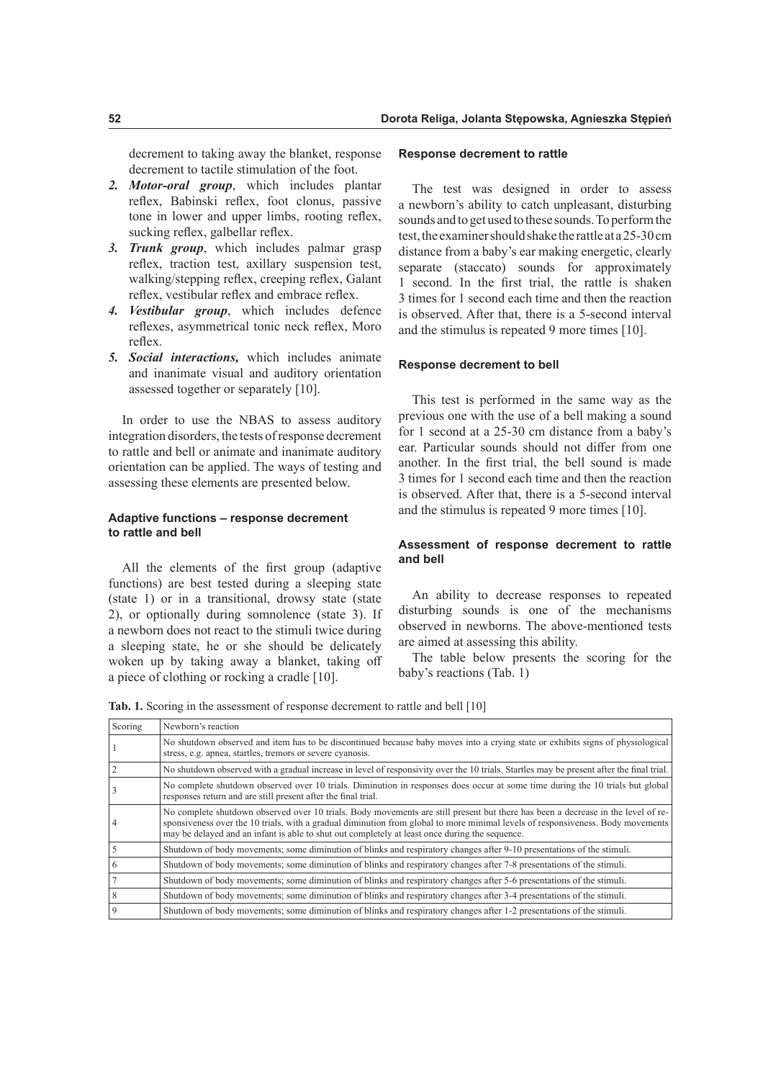decrement to taking away the blanket, response decrement to tactile stimulation of the foot.

- *2. Motor-oral group*, which includes plantar refex, Babinski refex, foot clonus, passive tone in lower and upper limbs, rooting refex, sucking reflex, galbellar reflex.
- *3. Trunk group*, which includes palmar grasp refex, traction test, axillary suspension test, walking/stepping refex, creeping refex, Galant reflex, vestibular reflex and embrace reflex.
- *4. Vestibular group*, which includes defence refexes, asymmetrical tonic neck refex, Moro reflex.
- *5. Social interactions,* which includes animate and inanimate visual and auditory orientation assessed together or separately [10].

In order to use the NBAS to assess auditory integration disorders, the tests of response decrement to rattle and bell or animate and inanimate auditory orientation can be applied. The ways of testing and assessing these elements are presented below.

## **Adaptive functions – response decrement to rattle and bell**

All the elements of the frst group (adaptive functions) are best tested during a sleeping state (state 1) or in a transitional, drowsy state (state 2), or optionally during somnolence (state 3). If a newborn does not react to the stimuli twice during a sleeping state, he or she should be delicately woken up by taking away a blanket, taking of a piece of clothing or rocking a cradle [10].

#### **Response decrement to rattle**

The test was designed in order to assess a newborn's ability to catch unpleasant, disturbing sounds and to get used to these sounds. To perform the test, the examiner should shake the rattle at a 25-30 cm distance from a baby's ear making energetic, clearly separate (staccato) sounds for approximately 1 second. In the frst trial, the rattle is shaken 3 times for 1 second each time and then the reaction is observed. After that, there is a 5-second interval and the stimulus is repeated 9 more times [10].

### **Response decrement to bell**

This test is performed in the same way as the previous one with the use of a bell making a sound for 1 second at a 25-30 cm distance from a baby's ear. Particular sounds should not difer from one another. In the frst trial, the bell sound is made 3 times for 1 second each time and then the reaction is observed. After that, there is a 5-second interval and the stimulus is repeated 9 more times [10].

# **Assessment of response decrement to rattle and bell**

An ability to decrease responses to repeated disturbing sounds is one of the mechanisms observed in newborns. The above-mentioned tests are aimed at assessing this ability.

The table below presents the scoring for the baby's reactions (Tab. 1)

Tab. 1. Scoring in the assessment of response decrement to rattle and bell [10]

| Scoring | Newborn's reaction                                                                                                                                                                                                                                                                                                                                                    |  |
|---------|-----------------------------------------------------------------------------------------------------------------------------------------------------------------------------------------------------------------------------------------------------------------------------------------------------------------------------------------------------------------------|--|
|         | No shutdown observed and item has to be discontinued because baby moves into a crying state or exhibits signs of physiological<br>stress, e.g. apnea, startles, tremors or severe cyanosis.                                                                                                                                                                           |  |
|         | No shutdown observed with a gradual increase in level of responsivity over the 10 trials. Startles may be present after the final trial.                                                                                                                                                                                                                              |  |
|         | No complete shutdown observed over 10 trials. Diminution in responses does occur at some time during the 10 trials but global<br>responses return and are still present after the final trial.                                                                                                                                                                        |  |
|         | No complete shutdown observed over 10 trials. Body movements are still present but there has been a decrease in the level of re-<br>sponsiveness over the 10 trials, with a gradual diminution from global to more minimal levels of responsiveness. Body movements<br>may be delayed and an infant is able to shut out completely at least once during the sequence. |  |
|         | Shutdown of body movements; some diminution of blinks and respiratory changes after 9-10 presentations of the stimuli.                                                                                                                                                                                                                                                |  |
| 6       | Shutdown of body movements; some diminution of blinks and respiratory changes after 7-8 presentations of the stimuli.                                                                                                                                                                                                                                                 |  |
|         | Shutdown of body movements; some diminution of blinks and respiratory changes after 5-6 presentations of the stimuli.                                                                                                                                                                                                                                                 |  |
| 8       | Shutdown of body movements; some diminution of blinks and respiratory changes after 3-4 presentations of the stimuli.                                                                                                                                                                                                                                                 |  |
| 9       | Shutdown of body movements; some diminution of blinks and respiratory changes after 1-2 presentations of the stimuli.                                                                                                                                                                                                                                                 |  |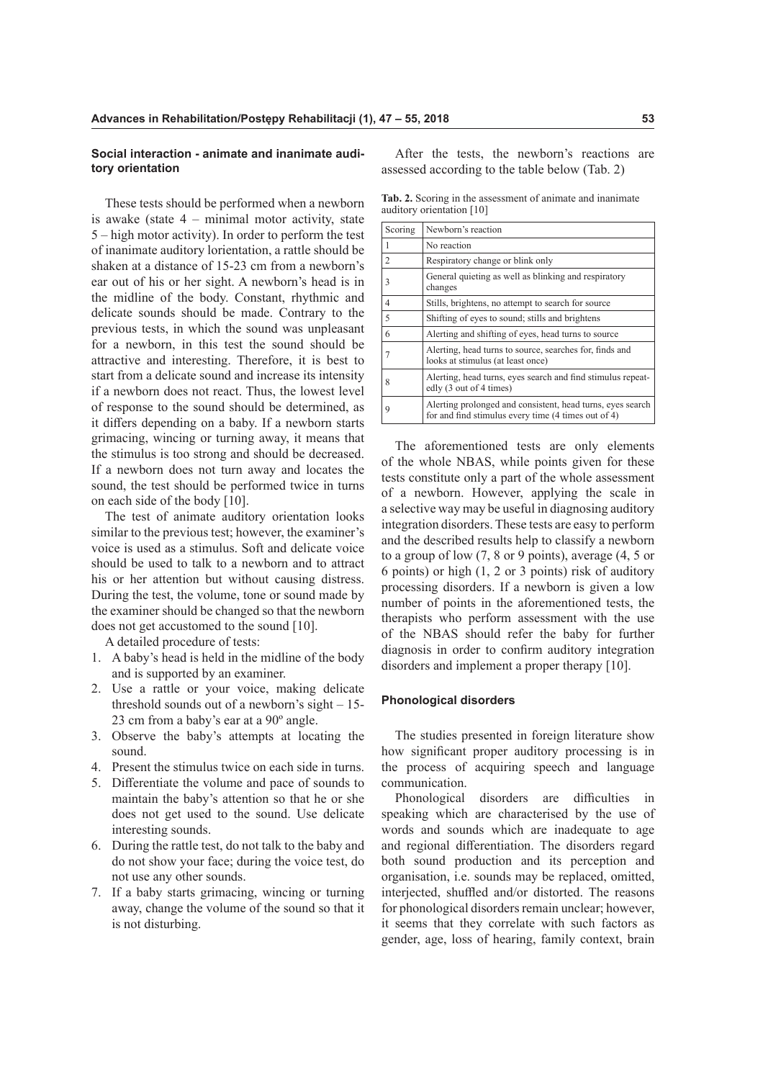### **Social interaction - animate and inanimate auditory orientation**

These tests should be performed when a newborn is awake (state  $4$  – minimal motor activity, state 5 – high motor activity). In order to perform the test of inanimate auditory lorientation, a rattle should be shaken at a distance of 15-23 cm from a newborn's ear out of his or her sight. A newborn's head is in the midline of the body. Constant, rhythmic and delicate sounds should be made. Contrary to the previous tests, in which the sound was unpleasant for a newborn, in this test the sound should be attractive and interesting. Therefore, it is best to start from a delicate sound and increase its intensity if a newborn does not react. Thus, the lowest level of response to the sound should be determined, as it difers depending on a baby. If a newborn starts grimacing, wincing or turning away, it means that the stimulus is too strong and should be decreased. If a newborn does not turn away and locates the sound, the test should be performed twice in turns on each side of the body [10].

The test of animate auditory orientation looks similar to the previous test; however, the examiner's voice is used as a stimulus. Soft and delicate voice should be used to talk to a newborn and to attract his or her attention but without causing distress. During the test, the volume, tone or sound made by the examiner should be changed so that the newborn does not get accustomed to the sound [10].

A detailed procedure of tests:

- 1. A baby's head is held in the midline of the body and is supported by an examiner.
- 2. Use a rattle or your voice, making delicate threshold sounds out of a newborn's sight – 15- 23 cm from a baby's ear at a 90º angle.
- 3. Observe the baby's attempts at locating the sound.
- 4. Present the stimulus twice on each side in turns.
- 5. Diferentiate the volume and pace of sounds to maintain the baby's attention so that he or she does not get used to the sound. Use delicate interesting sounds.
- 6. During the rattle test, do not talk to the baby and do not show your face; during the voice test, do not use any other sounds.
- 7. If a baby starts grimacing, wincing or turning away, change the volume of the sound so that it is not disturbing.

After the tests, the newborn's reactions are assessed according to the table below (Tab. 2)

**Tab. 2.** Scoring in the assessment of animate and inanimate auditory orientation [10]

| Scoring | Newborn's reaction                                                                                                |
|---------|-------------------------------------------------------------------------------------------------------------------|
|         | No reaction                                                                                                       |
| 2       | Respiratory change or blink only                                                                                  |
| 3       | General quieting as well as blinking and respiratory<br>changes                                                   |
| 4       | Stills, brightens, no attempt to search for source                                                                |
| 5       | Shifting of eyes to sound; stills and brightens                                                                   |
| 6       | Alerting and shifting of eyes, head turns to source                                                               |
|         | Alerting, head turns to source, searches for, finds and<br>looks at stimulus (at least once)                      |
| 8       | Alerting, head turns, eyes search and find stimulus repeat-<br>edly (3 out of 4 times)                            |
| q       | Alerting prolonged and consistent, head turns, eyes search<br>for and find stimulus every time (4 times out of 4) |

The aforementioned tests are only elements of the whole NBAS, while points given for these tests constitute only a part of the whole assessment of a newborn. However, applying the scale in a selective way may be useful in diagnosing auditory integration disorders. These tests are easy to perform and the described results help to classify a newborn to a group of low (7, 8 or 9 points), average (4, 5 or 6 points) or high (1, 2 or 3 points) risk of auditory processing disorders. If a newborn is given a low number of points in the aforementioned tests, the therapists who perform assessment with the use of the NBAS should refer the baby for further diagnosis in order to confrm auditory integration disorders and implement a proper therapy [10].

#### **Phonological disorders**

The studies presented in foreign literature show how signifcant proper auditory processing is in the process of acquiring speech and language communication.

Phonological disorders are difficulties in speaking which are characterised by the use of words and sounds which are inadequate to age and regional diferentiation. The disorders regard both sound production and its perception and organisation, i.e. sounds may be replaced, omitted, interjected, shuffled and/or distorted. The reasons for phonological disorders remain unclear; however, it seems that they correlate with such factors as gender, age, loss of hearing, family context, brain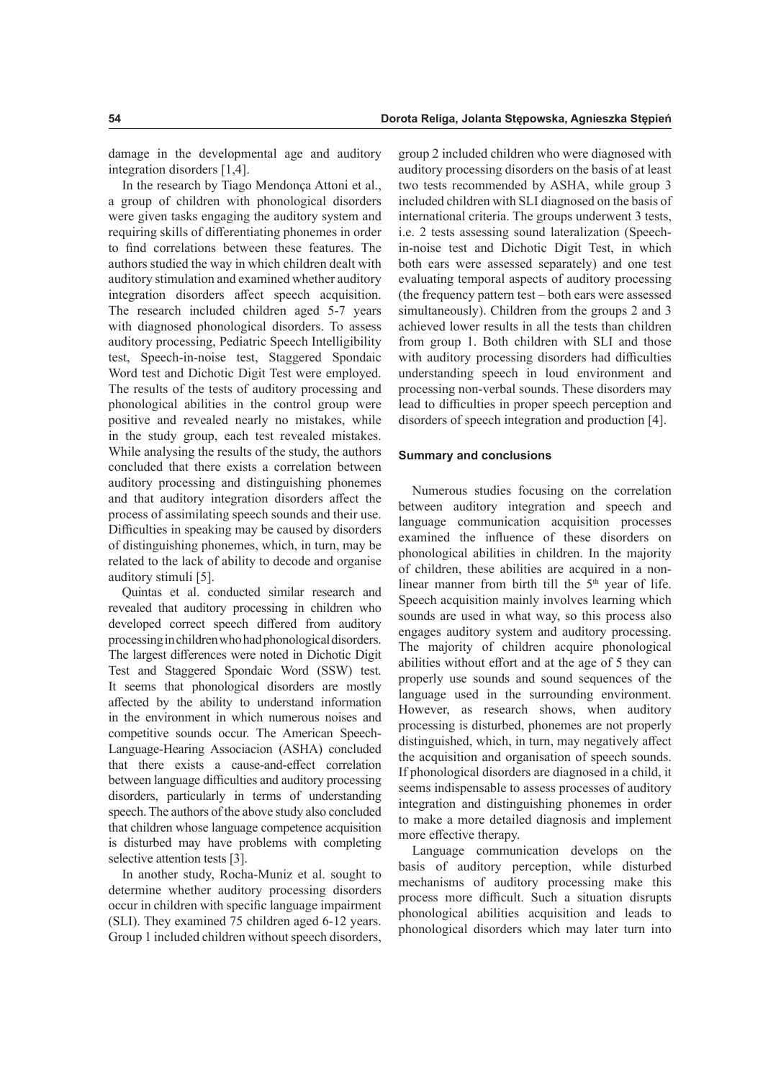damage in the developmental age and auditory integration disorders [1,4].

In the research by Tiago Mendonça Attoni et al., a group of children with phonological disorders were given tasks engaging the auditory system and requiring skills of diferentiating phonemes in order to fnd correlations between these features. The authors studied the way in which children dealt with auditory stimulation and examined whether auditory integration disorders afect speech acquisition. The research included children aged 5-7 years with diagnosed phonological disorders. To assess auditory processing, Pediatric Speech Intelligibility test, Speech-in-noise test, Staggered Spondaic Word test and Dichotic Digit Test were employed. The results of the tests of auditory processing and phonological abilities in the control group were positive and revealed nearly no mistakes, while in the study group, each test revealed mistakes. While analysing the results of the study, the authors concluded that there exists a correlation between auditory processing and distinguishing phonemes and that auditory integration disorders afect the process of assimilating speech sounds and their use. Difficulties in speaking may be caused by disorders of distinguishing phonemes, which, in turn, may be related to the lack of ability to decode and organise auditory stimuli [5].

Quintas et al. conducted similar research and revealed that auditory processing in children who developed correct speech difered from auditory processing in children who had phonological disorders. The largest diferences were noted in Dichotic Digit Test and Staggered Spondaic Word (SSW) test. It seems that phonological disorders are mostly afected by the ability to understand information in the environment in which numerous noises and competitive sounds occur. The American Speech-Language-Hearing Associacion (ASHA) concluded that there exists a cause-and-efect correlation between language difficulties and auditory processing disorders, particularly in terms of understanding speech. The authors of the above study also concluded that children whose language competence acquisition is disturbed may have problems with completing selective attention tests [3].

In another study, Rocha-Muniz et al. sought to determine whether auditory processing disorders occur in children with specifc language impairment (SLI). They examined 75 children aged 6-12 years. Group 1 included children without speech disorders,

group 2 included children who were diagnosed with auditory processing disorders on the basis of at least two tests recommended by ASHA, while group 3 included children with SLI diagnosed on the basis of international criteria. The groups underwent 3 tests, i.e. 2 tests assessing sound lateralization (Speechin-noise test and Dichotic Digit Test, in which both ears were assessed separately) and one test evaluating temporal aspects of auditory processing (the frequency pattern test – both ears were assessed simultaneously). Children from the groups 2 and 3 achieved lower results in all the tests than children from group 1. Both children with SLI and those with auditory processing disorders had difficulties understanding speech in loud environment and processing non-verbal sounds. These disorders may lead to difficulties in proper speech perception and disorders of speech integration and production [4].

## **Summary and conclusions**

Numerous studies focusing on the correlation between auditory integration and speech and language communication acquisition processes examined the infuence of these disorders on phonological abilities in children. In the majority of children, these abilities are acquired in a nonlinear manner from birth till the  $5<sup>th</sup>$  year of life. Speech acquisition mainly involves learning which sounds are used in what way, so this process also engages auditory system and auditory processing. The majority of children acquire phonological abilities without effort and at the age of 5 they can properly use sounds and sound sequences of the language used in the surrounding environment. However, as research shows, when auditory processing is disturbed, phonemes are not properly distinguished, which, in turn, may negatively afect the acquisition and organisation of speech sounds. If phonological disorders are diagnosed in a child, it seems indispensable to assess processes of auditory integration and distinguishing phonemes in order to make a more detailed diagnosis and implement more effective therapy.

Language communication develops on the basis of auditory perception, while disturbed mechanisms of auditory processing make this process more difficult. Such a situation disrupts phonological abilities acquisition and leads to phonological disorders which may later turn into